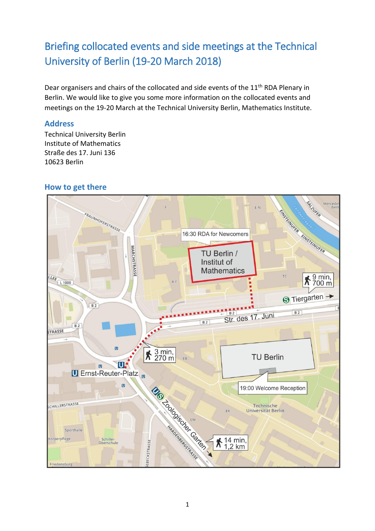# Briefing collocated events and side meetings at the Technical University of Berlin (19-20 March 2018)

Dear organisers and chairs of the collocated and side events of the 11<sup>th</sup> RDA Plenary in Berlin. We would like to give you some more information on the collocated events and meetings on the 19-20 March at the Technical University Berlin, Mathematics Institute.

#### **Address**

Technical University Berlin Institute of Mathematics Straße des 17. Juni 136 10623 Berlin

#### **How to get there**

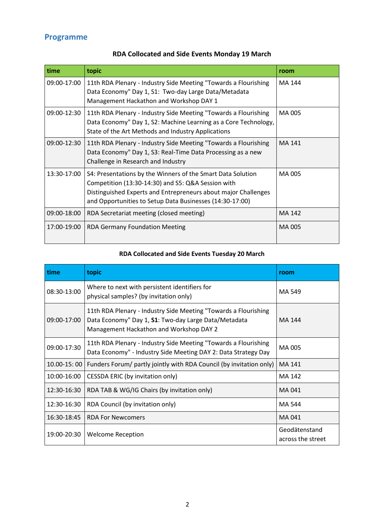## **Programme**

| time        | topic                                                                                                                                                                                                                                           | room   |
|-------------|-------------------------------------------------------------------------------------------------------------------------------------------------------------------------------------------------------------------------------------------------|--------|
| 09:00-17:00 | 11th RDA Plenary - Industry Side Meeting "Towards a Flourishing<br>Data Economy" Day 1, S1: Two-day Large Data/Metadata<br>Management Hackathon and Workshop DAY 1                                                                              | MA 144 |
| 09:00-12:30 | 11th RDA Plenary - Industry Side Meeting "Towards a Flourishing<br>Data Economy" Day 1, S2: Machine Learning as a Core Technology,<br>State of the Art Methods and Industry Applications                                                        | MA 005 |
| 09:00-12:30 | 11th RDA Plenary - Industry Side Meeting "Towards a Flourishing<br>Data Economy" Day 1, S3: Real-Time Data Processing as a new<br>Challenge in Research and Industry                                                                            | MA 141 |
| 13:30-17:00 | S4: Presentations by the Winners of the Smart Data Solution<br>Competition (13:30-14:30) and S5: Q&A Session with<br>Distinguished Experts and Entrepreneurs about major Challenges<br>and Opportunities to Setup Data Businesses (14:30-17:00) | MA 005 |
| 09:00-18:00 | RDA Secretariat meeting (closed meeting)                                                                                                                                                                                                        | MA 142 |
| 17:00-19:00 | <b>RDA Germany Foundation Meeting</b>                                                                                                                                                                                                           | MA 005 |

## **RDA Collocated and Side Events Monday 19 March**

#### **RDA Collocated and Side Events Tuesday 20 March**

| time        | topic                                                                                                                                                              | room                               |
|-------------|--------------------------------------------------------------------------------------------------------------------------------------------------------------------|------------------------------------|
| 08:30-13:00 | Where to next with persistent identifiers for<br>physical samples? (by invitation only)                                                                            | MA 549                             |
| 09:00-17:00 | 11th RDA Plenary - Industry Side Meeting "Towards a Flourishing<br>Data Economy" Day 1, S1: Two-day Large Data/Metadata<br>Management Hackathon and Workshop DAY 2 | MA 144                             |
| 09:00-17:30 | 11th RDA Plenary - Industry Side Meeting "Towards a Flourishing<br>Data Economy" - Industry Side Meeting DAY 2: Data Strategy Day                                  | MA 005                             |
| 10.00-15:00 | Funders Forum/ partly jointly with RDA Council (by invitation only)                                                                                                | MA 141                             |
| 10:00-16:00 | CESSDA ERIC (by invitation only)                                                                                                                                   | MA 142                             |
| 12:30-16:30 | RDA TAB & WG/IG Chairs (by invitation only)                                                                                                                        | MA 041                             |
| 12:30-16:30 | RDA Council (by invitation only)                                                                                                                                   | MA 544                             |
| 16:30-18:45 | <b>RDA For Newcomers</b>                                                                                                                                           | MA 041                             |
| 19:00-20:30 | <b>Welcome Reception</b>                                                                                                                                           | Geodätenstand<br>across the street |